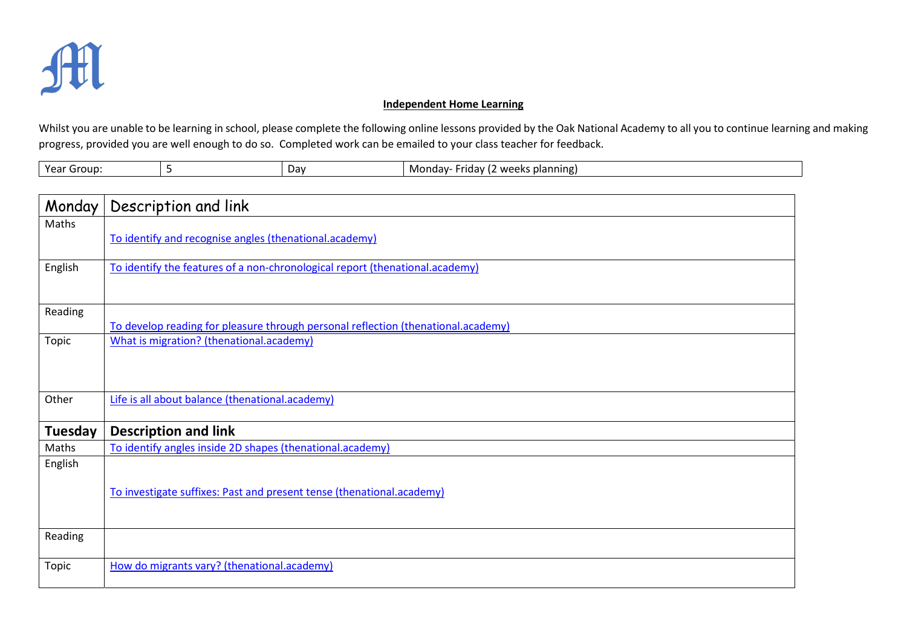

## Independent Home Learning

Whilst you are unable to be learning in school, please complete the following online lessons provided by the Oak National Academy to all you to continue learning and making progress, provided you are well enough to do so. Completed work can be emailed to your class teacher for feedback.

| Year<br>Group |  | Dav | s planning,<br>Monday-<br>z weekr<br>idav.<br>. .<br>. . |
|---------------|--|-----|----------------------------------------------------------|
|---------------|--|-----|----------------------------------------------------------|

| Monday  | Description and link                                                              |
|---------|-----------------------------------------------------------------------------------|
| Maths   |                                                                                   |
|         | To identify and recognise angles (thenational.academy)                            |
|         |                                                                                   |
| English | To identify the features of a non-chronological report (thenational.academy)      |
|         |                                                                                   |
| Reading |                                                                                   |
|         | To develop reading for pleasure through personal reflection (thenational.academy) |
| Topic   | What is migration? (thenational.academy)                                          |
|         |                                                                                   |
|         |                                                                                   |
|         |                                                                                   |
| Other   | Life is all about balance (thenational.academy)                                   |
| Tuesday | <b>Description and link</b>                                                       |
| Maths   | To identify angles inside 2D shapes (thenational.academy)                         |
| English |                                                                                   |
|         |                                                                                   |
|         | To investigate suffixes: Past and present tense (thenational.academy)             |
|         |                                                                                   |
|         |                                                                                   |
| Reading |                                                                                   |
|         |                                                                                   |
| Topic   | How do migrants vary? (thenational.academy)                                       |
|         |                                                                                   |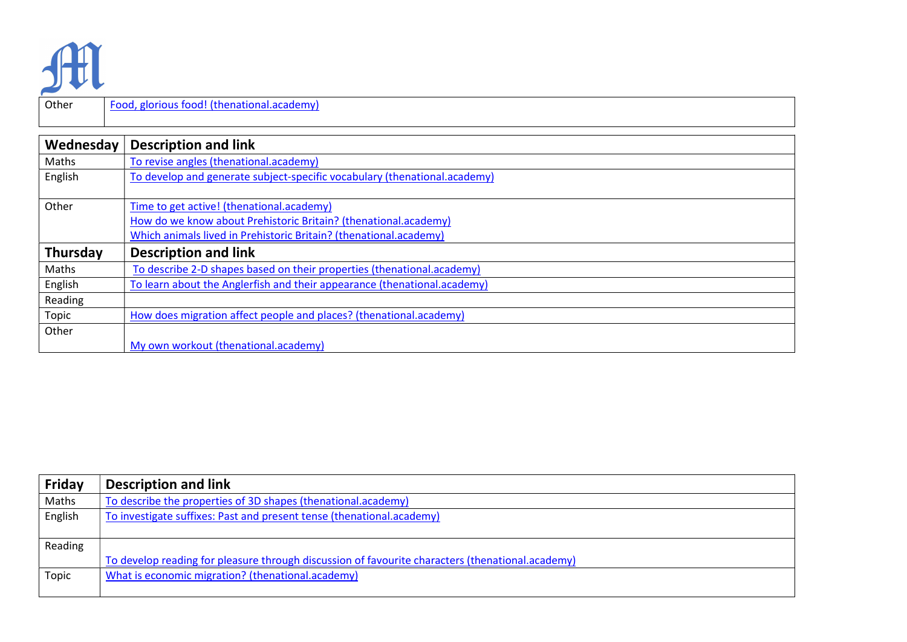

Other Food, glorious food! (thenational.academy)

| Wednesday | <b>Description and link</b>                                               |
|-----------|---------------------------------------------------------------------------|
| Maths     | To revise angles (thenational.academy)                                    |
| English   | To develop and generate subject-specific vocabulary (thenational.academy) |
| Other     | Time to get active! (thenational.academy)                                 |
|           | How do we know about Prehistoric Britain? (thenational.academy)           |
|           | Which animals lived in Prehistoric Britain? (thenational.academy)         |
| Thursday  | <b>Description and link</b>                                               |
| Maths     | To describe 2-D shapes based on their properties (thenational.academy)    |
| English   | To learn about the Anglerfish and their appearance (thenational.academy)  |
| Reading   |                                                                           |
| Topic     | How does migration affect people and places? (thenational.academy)        |
| Other     |                                                                           |
|           | My own workout (thenational.academy)                                      |

| Friday  | <b>Description and link</b>                                                                      |
|---------|--------------------------------------------------------------------------------------------------|
| Maths   | To describe the properties of 3D shapes (thenational.academy)                                    |
| English | To investigate suffixes: Past and present tense (thenational.academy)                            |
|         |                                                                                                  |
| Reading |                                                                                                  |
|         | To develop reading for pleasure through discussion of favourite characters (thenational.academy) |
| Topic   | What is economic migration? (thenational.academy)                                                |
|         |                                                                                                  |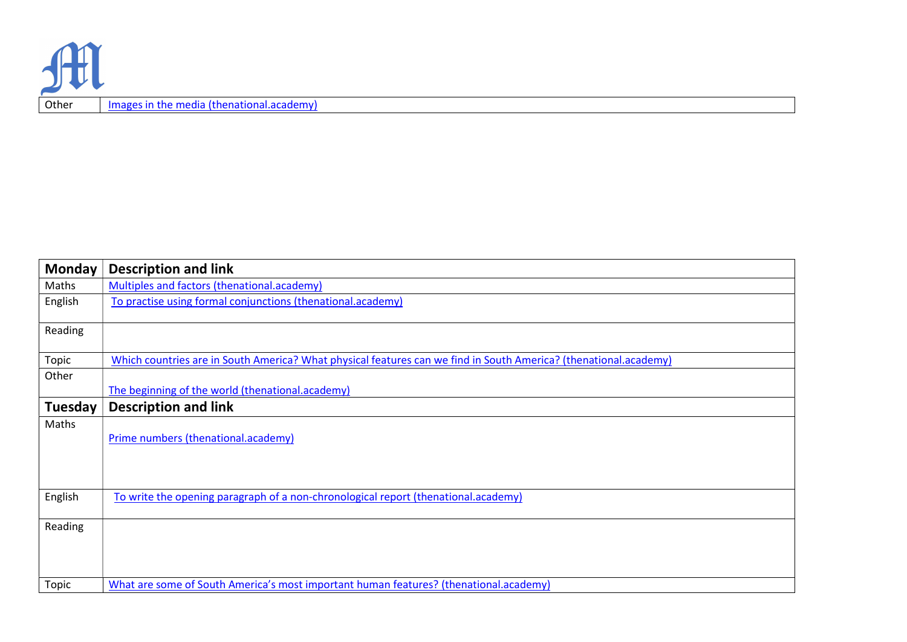| <b>Monday</b> | <b>Description and link</b>                                                                                      |
|---------------|------------------------------------------------------------------------------------------------------------------|
| Maths         | Multiples and factors (thenational.academy)                                                                      |
| English       | To practise using formal conjunctions (thenational.academy)                                                      |
| Reading       |                                                                                                                  |
| Topic         | Which countries are in South America? What physical features can we find in South America? (thenational.academy) |
| Other         |                                                                                                                  |
|               | The beginning of the world (thenational.academy)                                                                 |
| Tuesday       | <b>Description and link</b>                                                                                      |
| Maths         | Prime numbers (thenational.academy)                                                                              |
| English       | To write the opening paragraph of a non-chronological report (thenational.academy)                               |
| Reading       |                                                                                                                  |
| Topic         | What are some of South America's most important human features? (thenational.academy)                            |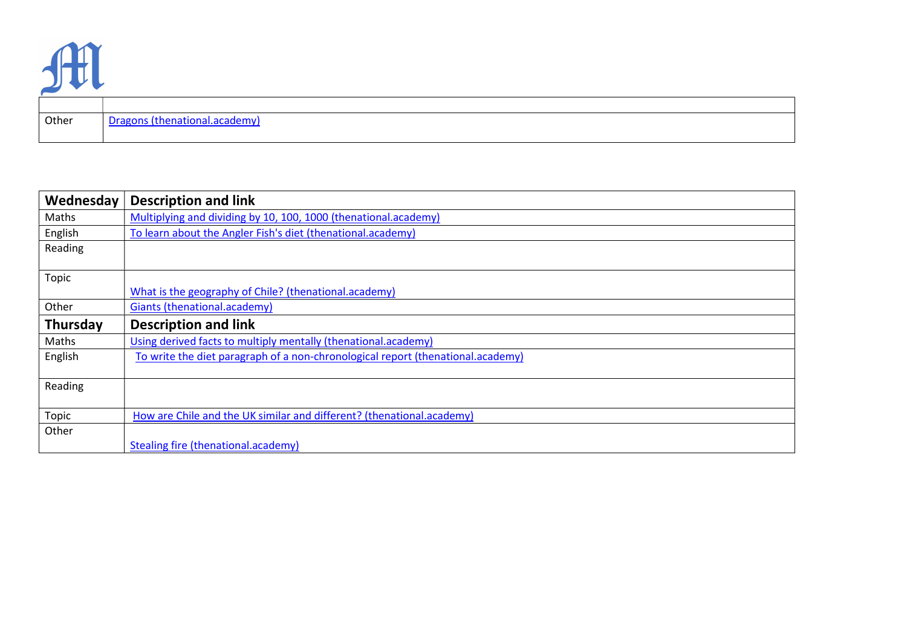

Other Dragons (thenational.academy)

| Wednesday | <b>Description and link</b>                                                     |
|-----------|---------------------------------------------------------------------------------|
| Maths     | Multiplying and dividing by 10, 100, 1000 (thenational.academy)                 |
| English   | To learn about the Angler Fish's diet (thenational.academy)                     |
| Reading   |                                                                                 |
|           |                                                                                 |
| Topic     |                                                                                 |
|           | What is the geography of Chile? (thenational.academy)                           |
| Other     | Giants (thenational.academy)                                                    |
| Thursday  | <b>Description and link</b>                                                     |
| Maths     | Using derived facts to multiply mentally (thenational.academy)                  |
| English   | To write the diet paragraph of a non-chronological report (thenational.academy) |
|           |                                                                                 |
| Reading   |                                                                                 |
|           |                                                                                 |
| Topic     | How are Chile and the UK similar and different? (thenational.academy)           |
| Other     |                                                                                 |
|           | <b>Stealing fire (thenational.academy)</b>                                      |